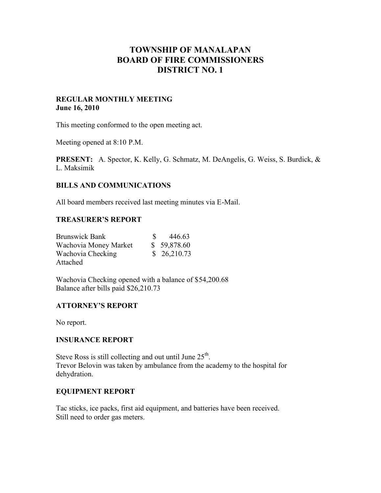# **TOWNSHIP OF MANALAPAN BOARD OF FIRE COMMISSIONERS DISTRICT NO. 1**

### **REGULAR MONTHLY MEETING June 16, 2010**

This meeting conformed to the open meeting act.

Meeting opened at 8:10 P.M.

**PRESENT:** A. Spector, K. Kelly, G. Schmatz, M. DeAngelis, G. Weiss, S. Burdick, & L. Maksimik

## **BILLS AND COMMUNICATIONS**

All board members received last meeting minutes via E-Mail.

## **TREASURER'S REPORT**

| <b>Brunswick Bank</b> | 446.63      |
|-----------------------|-------------|
| Wachovia Money Market | \$59,878.60 |
| Wachovia Checking     | \$26,210.73 |
| Attached              |             |

Wachovia Checking opened with a balance of \$54,200.68 Balance after bills paid \$26,210.73

# **ATTORNEY'S REPORT**

No report.

### **INSURANCE REPORT**

Steve Ross is still collecting and out until June  $25<sup>th</sup>$ . Trevor Belovin was taken by ambulance from the academy to the hospital for dehydration.

### **EQUIPMENT REPORT**

Tac sticks, ice packs, first aid equipment, and batteries have been received. Still need to order gas meters.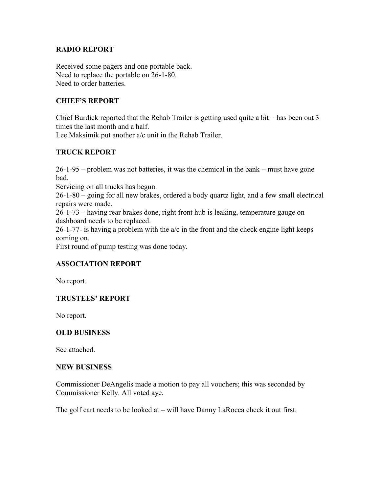## **RADIO REPORT**

Received some pagers and one portable back. Need to replace the portable on 26-1-80. Need to order batteries.

# **CHIEF'S REPORT**

Chief Burdick reported that the Rehab Trailer is getting used quite a bit – has been out 3 times the last month and a half.

Lee Maksimik put another a/c unit in the Rehab Trailer.

# **TRUCK REPORT**

26-1-95 – problem was not batteries, it was the chemical in the bank – must have gone bad.

Servicing on all trucks has begun.

26-1-80 – going for all new brakes, ordered a body quartz light, and a few small electrical repairs were made.

26-1-73 – having rear brakes done, right front hub is leaking, temperature gauge on dashboard needs to be replaced.

26-1-77- is having a problem with the  $a/c$  in the front and the check engine light keeps coming on.

First round of pump testing was done today.

# **ASSOCIATION REPORT**

No report.

# **TRUSTEES' REPORT**

No report.

# **OLD BUSINESS**

See attached.

#### **NEW BUSINESS**

Commissioner DeAngelis made a motion to pay all vouchers; this was seconded by Commissioner Kelly. All voted aye.

The golf cart needs to be looked at – will have Danny LaRocca check it out first.